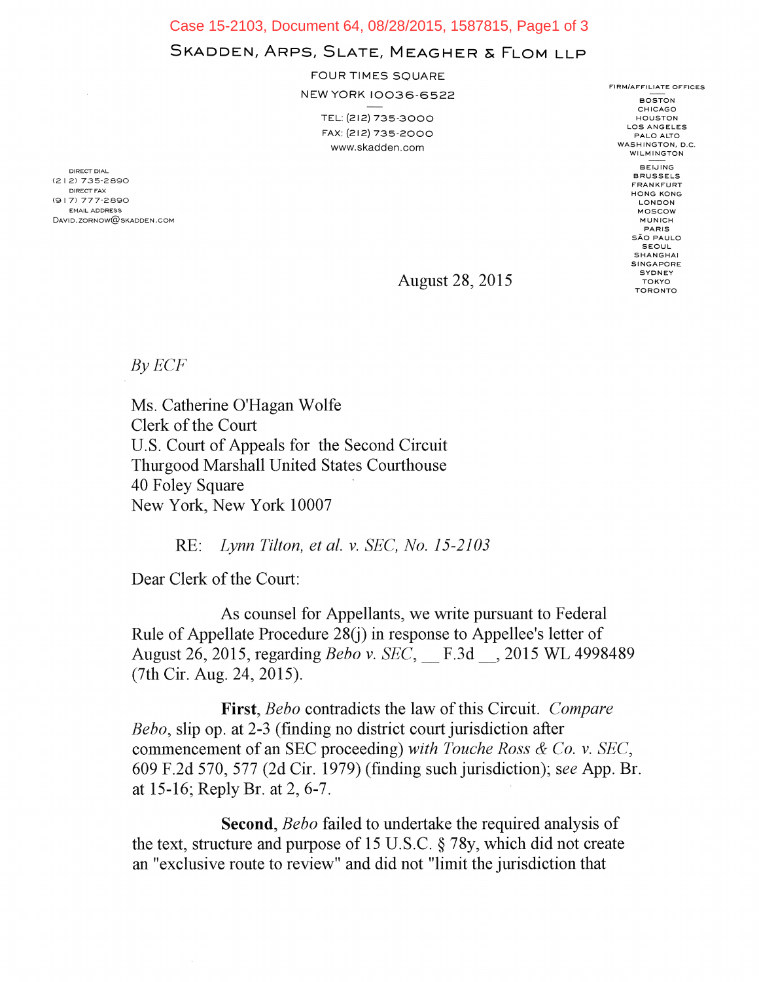Case 15-2103, Document 64, 08/28/2015, 1587815, Page1 of 3

## SKADDEN, ARPS, SLATE, MEAGHER & FLOM LLP

FOUR TIMES SQUARE

NEW YORK 10036-6522

TEL: (212) 735-3000 FAX: (212) 735-2000 www.skadden.com

**BOSTON** CHICAGO **HOUSTON** LOS ANGELES PALO ALTO WASHINGTON, D.C. WILMINGTON BEIJING BRUSSELS FRANKFURT HONG KONG LONDON MOSCOW MUNICH PARIS SAO PAULO SEOUL SHANGHAI **SINGAPORE SYDNEY TOKYO** TORONTO

FIRM/AFFILIATE OFFICES

August 28, 2015

 $By ECF$ 

DIRECT DIAL (2 I 2) 735-2890 DIRECT FAX (91 7) 777-2890 EMAIL ADDRESS David. zornow@skadden.com

> Ms. Catherine O'Hagan Wolfe Clerk of the Court U.S. Court of Appeals for the Second Circuit Thurgood Marshall United States Courthouse 40 Foley Square New York, New York 10007

> > RE: *Lynn Tilton, et al. v. SEC, No. 15-2103*

Dear Clerk of the Court:

As counsel for Appellants, we write pursuant to Federal Rule of Appellate Procedure 28(j) in response to Appellee's letter of August 26, 2015, regarding *Beho v. SEC,* F.3d 2015 WL 4998489 (7th Cir. Aug. 24, 2015).

First, *Beho* contradicts the law of this Circuit. *Compare Beho,* slip op. at 2-3 (finding no district court jurisdiction after commencement of an SEC proceeding) *with Touche Ross & Co. v. SEC,*  609 F.2d 570, 577 (2d Cir. 1979) (finding such jurisdiction); *see* App. Br. at 15-16; Reply Br. at 2, 6-7.

Second, *Beho* failed to undertake the required analysis of the text, structure and purpose of 15 U.S.C. § 78y, which did not create an "exclusive route to review" and did not "limit the jurisdiction that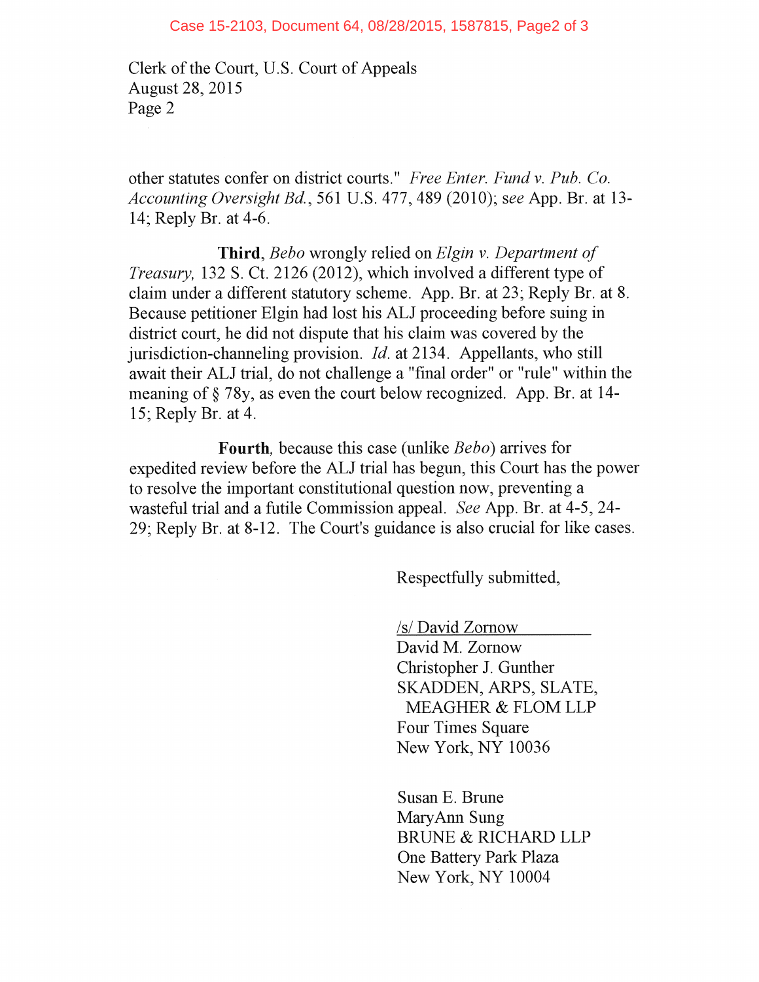Clerk of the Court, U.S. Court of Appeals August 28, 2015 Page 2

other statutes confer on district courts." *Free Enter. Fund v. Pub. Co. Accounting Oversight Bd.,* 561 U.S. 477, 489 (2010); *see* App. Br. at 13- 14; Reply Br. at 4-6.

**Third,** *Bebo* wrongly relied on *Elgin v. Department of Treasury,* 132 S. Ct. 2126 (2012), which involved a different type of claim under a different statutory scheme. App. Br. at 23; Reply Br. at 8. Because petitioner Elgin had lost his ALJ proceeding before suing in district court, he did not dispute that his claim was covered by the jurisdiction-channeling provision. *Id.* at 2134. Appellants, who still await their ALJ trial, do not challenge a "final order" or "rule" within the meaning of § 78y, as even the court below recognized. App. Br. at 14- 15; Reply Br. at 4.

**Fourth,** because this case (unlike *Bebo)* arrives for expedited review before the ALJ trial has begun, this Court has the power to resolve the important constitutional question now, preventing a wasteful trial and a futile Commission appeal. *See* App. Br. at 4-5, 24- 29; Reply Br. at 8-12. The Court's guidance is also crucial for like cases.

Respectfully submitted,

/s/ David Zornow

David M. Zornow Christopher J. Gunther SKADDEN, ARPS, SLATE, MEAGHER & FLOM LLP Four Times Square New York, NY 10036

Susan E. Brune MaryAnn Sung BRUNE & RICHARD LLP One Battery Park Plaza New York, NY 10004